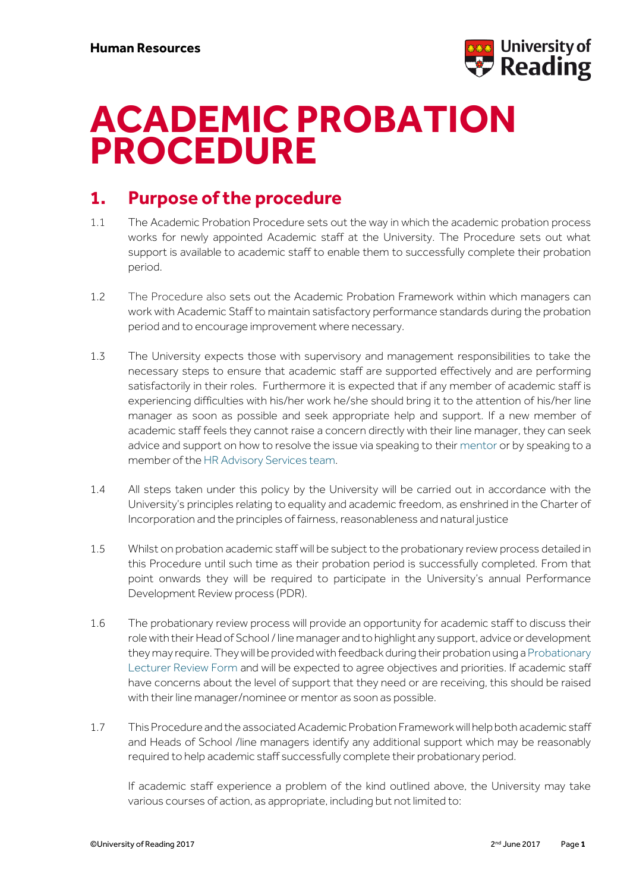

# **ACADEMIC PROBATION PROCEDURE Unit name goes here**

### **1. Purpose of the procedure**

- 1.1 The Academic Probation Procedure sets out the way in which the academic probation process works for newly appointed Academic staff at the University. The Procedure sets out what support is available to academic staff to enable them to successfully complete their probation period.
- 1.2 The Procedure also sets out the Academic Probation Framework within which managers can work with Academic Staff to maintain satisfactory performance standards during the probation period and to encourage improvement where necessary.
- 1.3 The University expects those with supervisory and management responsibilities to take the necessary steps to ensure that academic staff are supported effectively and are performing satisfactorily in their roles. Furthermore it is expected that if any member of academic staff is experiencing difficulties with his/her work he/she should bring it to the attention of his/her line manager as soon as possible and seek appropriate help and support. If a new member of academic staff feels they cannot raise a concern directly with their line manager, they can seek advice and support on how to resolve the issue via speaking to their mentor or by speaking to a member of the HR Advisory Services team.
- 1.4 All steps taken under this policy by the University will be carried out in accordance with the University's principles relating to equality and academic freedom, as enshrined in the Charter of Incorporation and the principles of fairness, reasonableness and natural justice
- 1.5 Whilst on probation academic staff will be subject to the probationary review process detailed in this Procedure until such time as their probation period is successfully completed. From that point onwards they will be required to participate in the University's annual Performance Development Review process (PDR).
- 1.6 The probationary review process will provide an opportunity for academic staff to discuss their role with their Head of School / line manager and to highlight any support, advice or development they may require. Theywill be provided with feedback during their probation using a Probationary Lecturer Review Form and will be expected to agree objectives and priorities. If academic staff have concerns about the level of support that they need or are receiving, this should be raised with their line manager/nominee or mentor as soon as possible.
- 1.7 This Procedure and the associated Academic Probation Framework will help both academic staff and Heads of School /line managers identify any additional support which may be reasonably required to help academic staff successfully complete their probationary period.

If academic staff experience a problem of the kind outlined above, the University may take various courses of action, as appropriate, including but not limited to: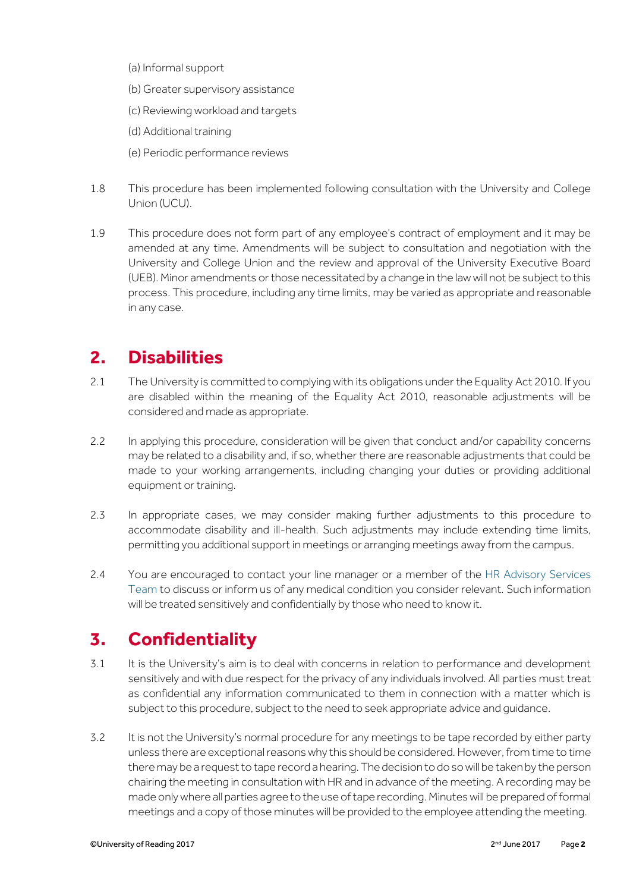- (a) Informal support
- (b) Greater supervisory assistance
- (c) Reviewing workload and targets
- (d) Additional training
- (e) Periodic performance reviews
- 1.8 This procedure has been implemented following consultation with the University and College Union (UCU).
- 1.9 This procedure does not form part of any employee's contract of employment and it may be amended at any time. Amendments will be subject to consultation and negotiation with the University and College Union and the review and approval of the University Executive Board (UEB). Minor amendments or those necessitated by a change in the law will not be subject to this process. This procedure, including any time limits, may be varied as appropriate and reasonable in any case.

#### **2. Disabilities**

- 2.1 The University is committed to complying with its obligations under the Equality Act 2010. If you are disabled within the meaning of the Equality Act 2010, reasonable adjustments will be considered and made as appropriate.
- 2.2 In applying this procedure, consideration will be given that conduct and/or capability concerns may be related to a disability and, if so, whether there are reasonable adjustments that could be made to your working arrangements, including changing your duties or providing additional equipment or training.
- 2.3 In appropriate cases, we may consider making further adjustments to this procedure to accommodate disability and ill-health. Such adjustments may include extending time limits, permitting you additional support in meetings or arranging meetings away from the campus.
- 2.4 You are encouraged to contact your line manager or a member of the HR Advisory Services Team to discuss or inform us of any medical condition you consider relevant. Such information will be treated sensitively and confidentially by those who need to know it.

### **3. Confidentiality**

- 3.1 It is the University's aim is to deal with concerns in relation to performance and development sensitively and with due respect for the privacy of any individuals involved. All parties must treat as confidential any information communicated to them in connection with a matter which is subject to this procedure, subject to the need to seek appropriate advice and guidance.
- 3.2 It is not the University's normal procedure for any meetings to be tape recorded by either party unless there are exceptional reasons why this should be considered. However, from time to time there may be a request to tape record a hearing. The decision to do sowill be taken by the person chairing the meeting in consultation with HR and in advance of the meeting. A recording may be made only where all parties agree to the use of tape recording. Minutes will be prepared of formal meetings and a copy of those minutes will be provided to the employee attending the meeting.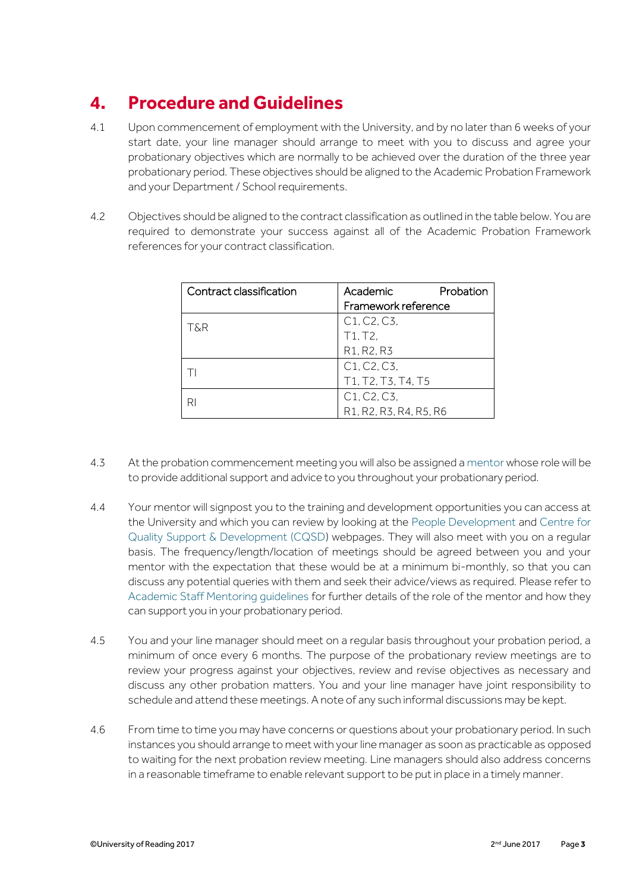## **4. Procedure and Guidelines**

- 4.1 Upon commencement of employment with the University, and by no later than 6 weeks of your start date, your line manager should arrange to meet with you to discuss and agree your probationary objectives which are normally to be achieved over the duration of the three year probationary period. These objectives should be aligned to the Academic Probation Framework and your Department / School requirements.
- 4.2 Objectives should be aligned to the contract classification as outlined in the table below. You are required to demonstrate your success against all of the Academic Probation Framework references for your contract classification.

| Contract classification | Academic               | Probation |
|-------------------------|------------------------|-----------|
|                         | Framework reference    |           |
| T&R                     | C1, C2, C3,            |           |
|                         | T1, T2,                |           |
|                         | R1, R2, R3             |           |
|                         | C1, C2, C3,            |           |
|                         | T1, T2, T3, T4, T5     |           |
|                         | C1, C2, C3,            |           |
|                         | R1, R2, R3, R4, R5, R6 |           |

- 4.3 At the probation commencement meeting you will also be assigned a mentor whose role will be to provide additional support and advice to you throughout your probationary period.
- 4.4 Your mentor will signpost you to the training and development opportunities you can access at the University and which you can review by looking at the People Development and Centre for Quality Support & Development (CQSD) webpages. They will also meet with you on a regular basis. The frequency/length/location of meetings should be agreed between you and your mentor with the expectation that these would be at a minimum bi-monthly, so that you can discuss any potential queries with them and seek their advice/views as required. Please refer to Academic Staff Mentoring guidelines for further details of the role of the mentor and how they can support you in your probationary period.
- 4.5 You and your line manager should meet on a regular basis throughout your probation period, a minimum of once every 6 months. The purpose of the probationary review meetings are to review your progress against your objectives, review and revise objectives as necessary and discuss any other probation matters. You and your line manager have joint responsibility to schedule and attend these meetings. A note of any such informal discussions may be kept.
- 4.6 From time to time you may have concerns or questions about your probationary period. In such instances you should arrange to meet with your line manager as soon as practicable as opposed to waiting for the next probation review meeting. Line managers should also address concerns in a reasonable timeframe to enable relevant support to be put in place in a timely manner.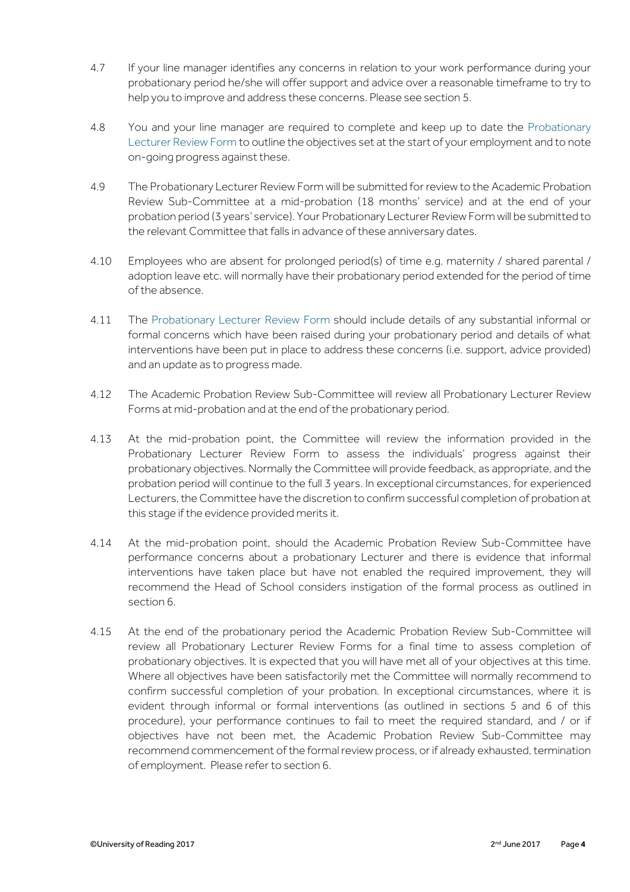- 4.7 If your line manager identifies any concerns in relation to your work performance during your probationary period he/she will offer support and advice over a reasonable timeframe to try to help you to improve and address these concerns. Please see section 5.
- 4.8 You and your line manager are required to complete and keep up to date the Probationary Lecturer Review Form to outline the objectives set at the start of your employment and to note on-going progress against these.
- 4.9 The Probationary Lecturer Review Form will be submitted for review to the Academic Probation Review Sub-Committee at a mid-probation (18 months' service) and at the end of your probation period (3 years' service). Your Probationary Lecturer Review Form will be submitted to the relevant Committee that falls in advance of these anniversary dates.
- 4.10 Employees who are absent for prolonged period(s) of time e.g. maternity / shared parental / adoption leave etc. will normally have their probationary period extended for the period of time of the absence.
- 4.11 The Probationary Lecturer Review Form should include details of any substantial informal or formal concerns which have been raised during your probationary period and details of what interventions have been put in place to address these concerns (i.e. support, advice provided) and an update as to progress made.
- 4.12 The Academic Probation Review Sub-Committee will review all Probationary Lecturer Review Forms at mid-probation and at the end of the probationary period.
- 4.13 At the mid-probation point, the Committee will review the information provided in the Probationary Lecturer Review Form to assess the individuals' progress against their probationary objectives. Normally the Committee will provide feedback, as appropriate, and the probation period will continue to the full 3 years. In exceptional circumstances, for experienced Lecturers, the Committee have the discretion to confirm successful completion of probation at this stage if the evidence provided merits it.
- 4.14 At the mid-probation point, should the Academic Probation Review Sub-Committee have performance concerns about a probationary Lecturer and there is evidence that informal interventions have taken place but have not enabled the required improvement, they will recommend the Head of School considers instigation of the formal process as outlined in section 6.
- 4.15 At the end of the probationary period the Academic Probation Review Sub-Committee will review all Probationary Lecturer Review Forms for a final time to assess completion of probationary objectives. It is expected that you will have met all of your objectives at this time. Where all objectives have been satisfactorily met the Committee will normally recommend to confirm successful completion of your probation. In exceptional circumstances, where it is evident through informal or formal interventions (as outlined in sections 5 and 6 of this procedure), your performance continues to fail to meet the required standard, and / or if objectives have not been met, the Academic Probation Review Sub-Committee may recommend commencement of the formal review process, or if already exhausted, termination of employment. Please refer to section 6.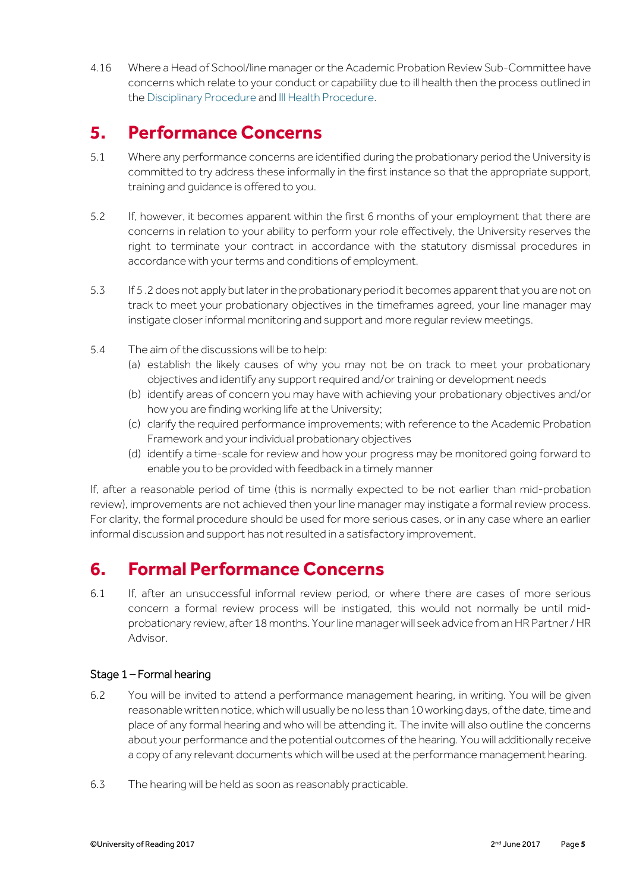4.16 Where a Head of School/line manager or the Academic Probation Review Sub-Committee have concerns which relate to your conduct or capability due to ill health then the process outlined in the Disciplinary Procedure and Ill Health Procedure.

#### **5. Performance Concerns**

- 5.1 Where any performance concerns are identified during the probationary period the University is committed to try address these informally in the first instance so that the appropriate support, training and guidance is offered to you.
- 5.2 If, however, it becomes apparent within the first 6 months of your employment that there are concerns in relation to your ability to perform your role effectively, the University reserves the right to terminate your contract in accordance with the statutory dismissal procedures in accordance with your terms and conditions of employment.
- 5.3 If 5 .2 does not apply but later in the probationary period it becomes apparent that you are not on track to meet your probationary objectives in the timeframes agreed, your line manager may instigate closer informal monitoring and support and more regular review meetings.
- 5.4 The aim of the discussions will be to help:
	- (a) establish the likely causes of why you may not be on track to meet your probationary objectives and identify any support required and/or training or development needs
	- (b) identify areas of concern you may have with achieving your probationary objectives and/or how you are finding working life at the University;
	- (c) clarify the required performance improvements; with reference to the Academic Probation Framework and your individual probationary objectives
	- (d) identify a time-scale for review and how your progress may be monitored going forward to enable you to be provided with feedback in a timely manner

If, after a reasonable period of time (this is normally expected to be not earlier than mid-probation review), improvements are not achieved then your line manager may instigate a formal review process. For clarity, the formal procedure should be used for more serious cases, or in any case where an earlier informal discussion and support has not resulted in a satisfactory improvement.

#### **6. Formal Performance Concerns**

6.1 If, after an unsuccessful informal review period, or where there are cases of more serious concern a formal review process will be instigated, this would not normally be until midprobationary review, after 18 months. Your line manager will seek advice from an HR Partner / HR Advisor.

#### Stage 1 – Formal hearing

- 6.2 You will be invited to attend a performance management hearing, in writing. You will be given reasonable written notice, which will usually be no less than 10 working days, of the date, time and place of any formal hearing and who will be attending it. The invite will also outline the concerns about your performance and the potential outcomes of the hearing. You will additionally receive a copy of any relevant documents which will be used at the performance management hearing.
- 6.3 The hearing will be held as soon as reasonably practicable.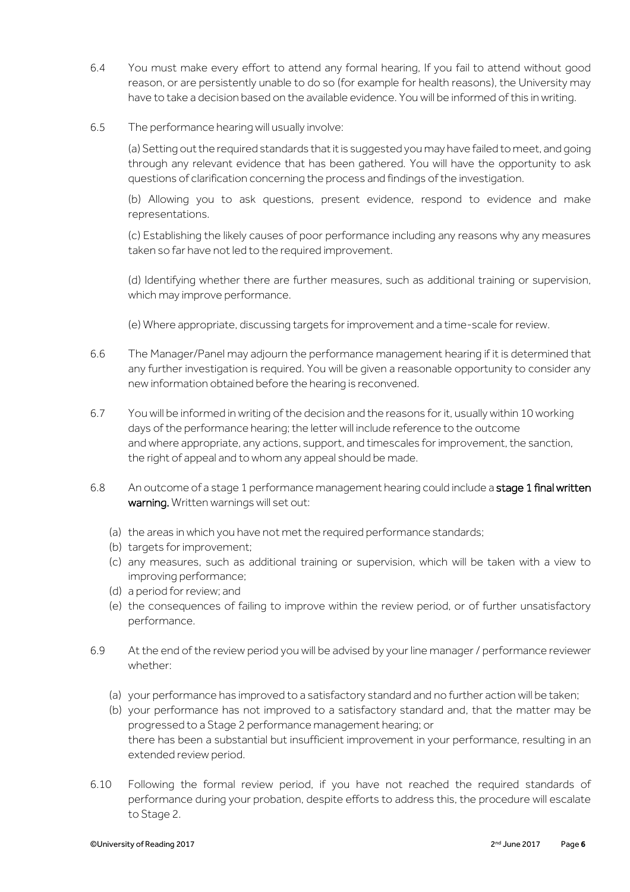- 6.4 You must make every effort to attend any formal hearing, If you fail to attend without good reason, or are persistently unable to do so (for example for health reasons), the University may have to take a decision based on the available evidence. You will be informed of this in writing.
- 6.5 The performance hearing will usually involve:

(a) Setting out the required standards that it is suggested you may have failed to meet, and going through any relevant evidence that has been gathered. You will have the opportunity to ask questions of clarification concerning the process and findings of the investigation.

(b) Allowing you to ask questions, present evidence, respond to evidence and make representations.

(c) Establishing the likely causes of poor performance including any reasons why any measures taken so far have not led to the required improvement.

(d) Identifying whether there are further measures, such as additional training or supervision, which may improve performance.

(e) Where appropriate, discussing targets for improvement and a time-scale for review.

- 6.6 The Manager/Panel may adjourn the performance management hearing if it is determined that any further investigation is required. You will be given a reasonable opportunity to consider any new information obtained before the hearing is reconvened.
- 6.7 You will be informed in writing of the decision and the reasons for it, usually within 10 working days of the performance hearing; the letter will include reference to the outcome and where appropriate, any actions, support, and timescales for improvement, the sanction, the right of appeal and to whom any appeal should be made.
- 6.8 An outcome of a stage 1 performance management hearing could include a stage 1 final written warning. Written warnings will set out:
	- (a) the areas in which you have not met the required performance standards;
	- (b) targets for improvement;
	- (c) any measures, such as additional training or supervision, which will be taken with a view to improving performance;
	- (d) a period for review; and
	- (e) the consequences of failing to improve within the review period, or of further unsatisfactory performance.
- 6.9 At the end of the review period you will be advised by your line manager / performance reviewer whether:
	- (a) your performance has improved to a satisfactory standard and no further action will be taken;
	- (b) your performance has not improved to a satisfactory standard and, that the matter may be progressed to a Stage 2 performance management hearing; or there has been a substantial but insufficient improvement in your performance, resulting in an extended review period.
- 6.10 Following the formal review period, if you have not reached the required standards of performance during your probation, despite efforts to address this, the procedure will escalate to Stage 2.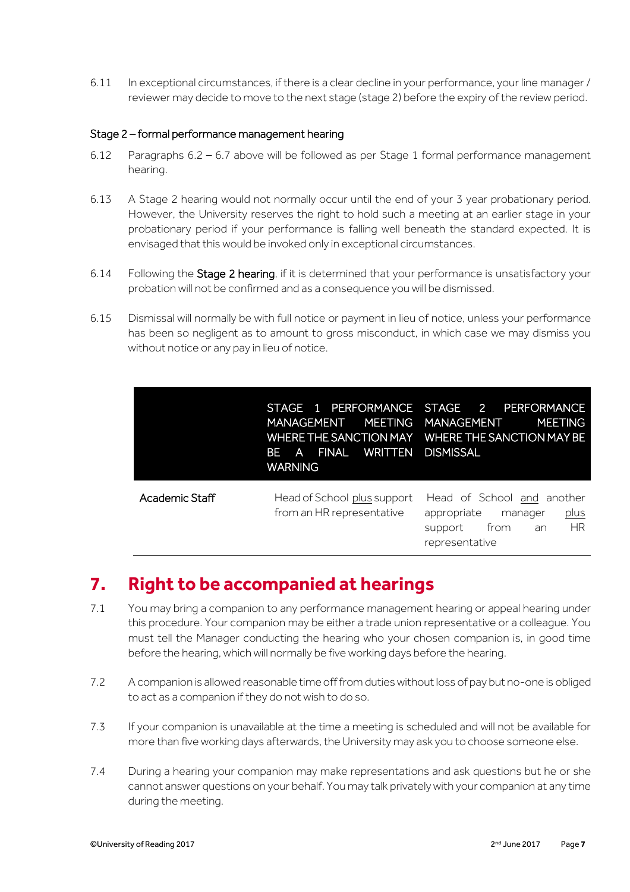6.11 In exceptional circumstances, if there is a clear decline in your performance, your line manager / reviewer may decide to move to the next stage (stage 2) before the expiry of the review period.

#### Stage 2 – formal performance management hearing

- 6.12 Paragraphs 6.2 6.7 above will be followed as per Stage 1 formal performance management hearing.
- 6.13 A Stage 2 hearing would not normally occur until the end of your 3 year probationary period. However, the University reserves the right to hold such a meeting at an earlier stage in your probationary period if your performance is falling well beneath the standard expected. It is envisaged that this would be invoked only in exceptional circumstances.
- 6.14 Following the Stage 2 hearing, if it is determined that your performance is unsatisfactory your probation will not be confirmed and as a consequence you will be dismissed.
- 6.15 Dismissal will normally be with full notice or payment in lieu of notice, unless your performance has been so negligent as to amount to gross misconduct, in which case we may dismiss you without notice or any pay in lieu of notice.

|                | <b>MEETING</b><br>MANAGEMENT<br>FINAL,<br>BE.<br>A<br><b>WARNING</b> | STAGE 1 PERFORMANCE STAGE 2 PERFORMANCE<br>MANAGEMENT<br><b>MEETING</b><br>WHERE THE SANCTION MAY  WHERE THE SANCTION MAY BE<br>WRITTEN DISMISSAL |
|----------------|----------------------------------------------------------------------|---------------------------------------------------------------------------------------------------------------------------------------------------|
| Academic Staff | Head of School plus support<br>from an HR representative             | Head of School and another<br>plus<br>appropriate<br>manager<br><b>HR</b><br>from an<br>support<br>representative                                 |

#### **7. Right to be accompanied at hearings**

- 7.1 You may bring a companion to any performance management hearing or appeal hearing under this procedure. Your companion may be either a trade union representative or a colleague. You must tell the Manager conducting the hearing who your chosen companion is, in good time before the hearing, which will normally be five working days before the hearing.
- 7.2 A companion is allowed reasonable time off from duties without loss of pay but no-one is obliged to act as a companion if they do not wish to do so.
- 7.3 If your companion is unavailable at the time a meeting is scheduled and will not be available for more than five working days afterwards, the University may ask you to choose someone else.
- 7.4 During a hearing your companion may make representations and ask questions but he or she cannot answer questions on your behalf. You may talk privately with your companion at any time during the meeting.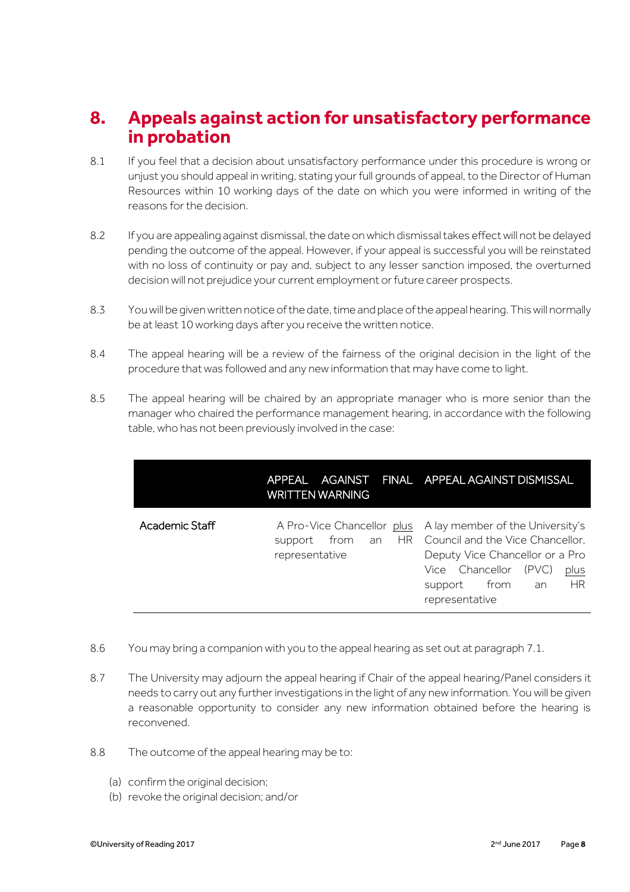#### **8. Appeals against action for unsatisfactory performance in probation**

- 8.1 If you feel that a decision about unsatisfactory performance under this procedure is wrong or unjust you should appeal in writing, stating your full grounds of appeal, to the Director of Human Resources within 10 working days of the date on which you were informed in writing of the reasons for the decision.
- 8.2 If you are appealing against dismissal, the date on which dismissal takes effect will not be delayed pending the outcome of the appeal. However, if your appeal is successful you will be reinstated with no loss of continuity or pay and, subject to any lesser sanction imposed, the overturned decision will not prejudice your current employment or future career prospects.
- 8.3 You will be given written notice of the date, time and place of the appeal hearing. This will normally be at least 10 working days after you receive the written notice.
- 8.4 The appeal hearing will be a review of the fairness of the original decision in the light of the procedure that was followed and any new information that may have come to light.
- 8.5 The appeal hearing will be chaired by an appropriate manager who is more senior than the manager who chaired the performance management hearing, in accordance with the following table, who has not been previously involved in the case:

|                | <b>AGAINST</b><br>APPEAL.<br><b>WRITTEN WARNING</b> | <b>FINAL APPEAL AGAINST DISMISSAL</b>                                                                                                                                                                                   |
|----------------|-----------------------------------------------------|-------------------------------------------------------------------------------------------------------------------------------------------------------------------------------------------------------------------------|
| Academic Staff | HR I<br>from<br>support<br>an<br>representative     | A Pro-Vice Chancellor plus A lay member of the University's<br>Council and the Vice Chancellor,<br>Deputy Vice Chancellor or a Pro<br>Vice Chancellor<br>(PVC)<br>plus<br>HR<br>from<br>support<br>an<br>representative |

- 8.6 You may bring a companion with you to the appeal hearing as set out at paragraph 7.1.
- 8.7 The University may adjourn the appeal hearing if Chair of the appeal hearing/Panel considers it needs to carry out any further investigations in the light of any new information. You will be given a reasonable opportunity to consider any new information obtained before the hearing is reconvened.
- 8.8 The outcome of the appeal hearing may be to:
	- (a) confirm the original decision;
	- (b) revoke the original decision; and/or